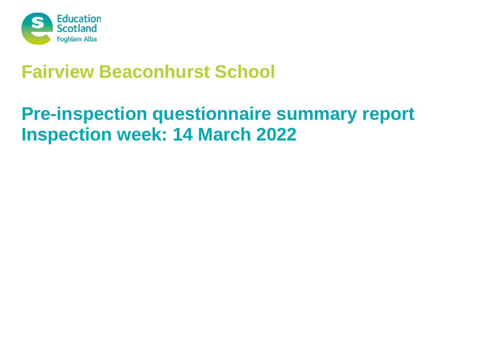

# **Fairview Beaconhurst School**

# **Pre-inspection questionnaire summary report Inspection week: 14 March 2022**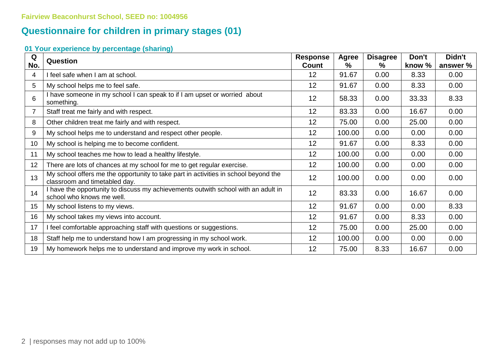### **Questionnaire for children in primary stages (01)**

### **01 Your experience by percentage (sharing)**

| Q   | <b>Question</b>                                                                                                      | <b>Response</b> | Agree  | <b>Disagree</b> | Don't  | Didn't   |
|-----|----------------------------------------------------------------------------------------------------------------------|-----------------|--------|-----------------|--------|----------|
| No. |                                                                                                                      | <b>Count</b>    | ℅      | %               | know % | answer % |
| 4   | I feel safe when I am at school.                                                                                     | 12              | 91.67  | 0.00            | 8.33   | 0.00     |
| 5   | My school helps me to feel safe.                                                                                     | 12              | 91.67  | 0.00            | 8.33   | 0.00     |
| 6   | I have someone in my school I can speak to if I am upset or worried about<br>something.                              | 12              | 58.33  | 0.00            | 33.33  | 8.33     |
| 7   | Staff treat me fairly and with respect.                                                                              | 12              | 83.33  | 0.00            | 16.67  | 0.00     |
| 8   | Other children treat me fairly and with respect.                                                                     | 12              | 75.00  | 0.00            | 25.00  | 0.00     |
| 9   | My school helps me to understand and respect other people.                                                           | 12              | 100.00 | 0.00            | 0.00   | 0.00     |
| 10  | My school is helping me to become confident.                                                                         | 12              | 91.67  | 0.00            | 8.33   | 0.00     |
| 11  | My school teaches me how to lead a healthy lifestyle.                                                                | 12              | 100.00 | 0.00            | 0.00   | 0.00     |
| 12  | There are lots of chances at my school for me to get regular exercise.                                               | 12              | 100.00 | 0.00            | 0.00   | 0.00     |
| 13  | My school offers me the opportunity to take part in activities in school beyond the<br>classroom and timetabled day. | 12              | 100.00 | 0.00            | 0.00   | 0.00     |
| 14  | I have the opportunity to discuss my achievements outwith school with an adult in<br>school who knows me well.       | 12              | 83.33  | 0.00            | 16.67  | 0.00     |
| 15  | My school listens to my views.                                                                                       | 12              | 91.67  | 0.00            | 0.00   | 8.33     |
| 16  | My school takes my views into account.                                                                               | 12              | 91.67  | 0.00            | 8.33   | 0.00     |
| 17  | I feel comfortable approaching staff with questions or suggestions.                                                  | 12              | 75.00  | 0.00            | 25.00  | 0.00     |
| 18  | Staff help me to understand how I am progressing in my school work.                                                  | 12              | 100.00 | 0.00            | 0.00   | 0.00     |
| 19  | My homework helps me to understand and improve my work in school.                                                    | 12              | 75.00  | 8.33            | 16.67  | 0.00     |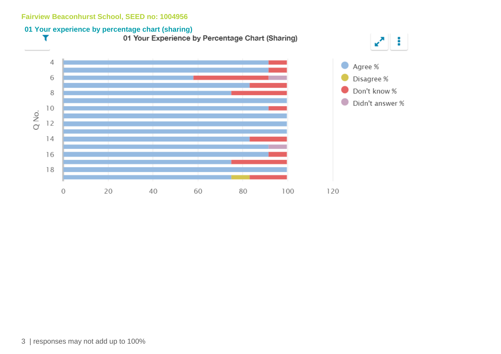# **01 Your experience by percentage chart (sharing)**<br>**1 Your Experience by Percentage Chart (Sharing)** T



÷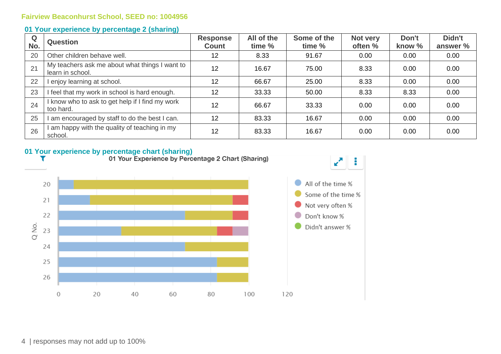#### **01 Your experience by percentage 2 (sharing)**

| Q<br>No. | <b>Question</b>                                                    | <b>Response</b><br><b>Count</b> | All of the<br>time % | Some of the<br>time % | Not very<br>often % | Don't<br>know % | Didn't<br>answer % |
|----------|--------------------------------------------------------------------|---------------------------------|----------------------|-----------------------|---------------------|-----------------|--------------------|
| 20       | Other children behave well.                                        | 12                              | 8.33                 | 91.67                 | 0.00                | 0.00            | 0.00               |
| 21       | My teachers ask me about what things I want to<br>learn in school. | 12                              | 16.67                | 75.00                 | 8.33                | 0.00            | 0.00               |
| 22       | enjoy learning at school.                                          | 12                              | 66.67                | 25.00                 | 8.33                | 0.00            | 0.00               |
| 23       | I feel that my work in school is hard enough.                      | 12                              | 33.33                | 50.00                 | 8.33                | 8.33            | 0.00               |
| 24       | I know who to ask to get help if I find my work<br>too hard.       | 12                              | 66.67                | 33.33                 | 0.00                | 0.00            | 0.00               |
| 25       | am encouraged by staff to do the best I can.                       | 12                              | 83.33                | 16.67                 | 0.00                | 0.00            | 0.00               |
| 26       | am happy with the quality of teaching in my<br>school.             | 12                              | 83.33                | 16.67                 | 0.00                | 0.00            | 0.00               |

# **01 Your experience by percentage chart (sharing)**<br>**1 Your Experience by Percentage 2 Chart (Sharing)**

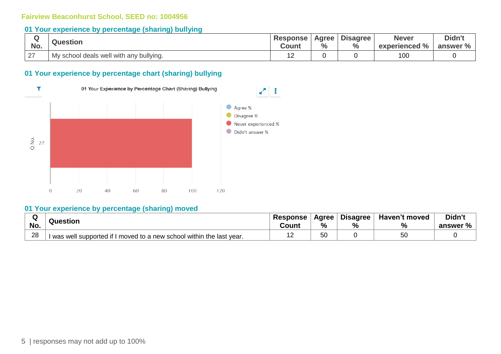#### **01 Your experience by percentage (sharing) bullying**

| No. | <b>Question</b>                         | <b>Response</b><br>Count | Agree  <br>$\%$ | <b>Disagree</b><br>$\%$ | <b>Never</b><br>experienced % | Didn't<br>answer % |
|-----|-----------------------------------------|--------------------------|-----------------|-------------------------|-------------------------------|--------------------|
| 27  | My school deals well with any bullying. | . <u>.</u>               |                 |                         | 100                           |                    |

#### **01 Your experience by percentage chart (sharing) bullying**



#### **01 Your experience by percentage (sharing) moved**

| ື   | Question                                                            |  | Agree | <b>Disagree</b> | <b>Haven't moved</b> | Didn't   |
|-----|---------------------------------------------------------------------|--|-------|-----------------|----------------------|----------|
| No. |                                                                     |  | %     | %               | $\Omega$<br>70       | answer % |
| 28  | was well supported if I moved to a new school within the last year. |  | 50    |                 | 56<br>ັບ             |          |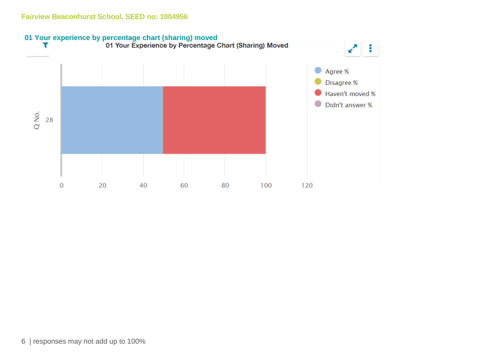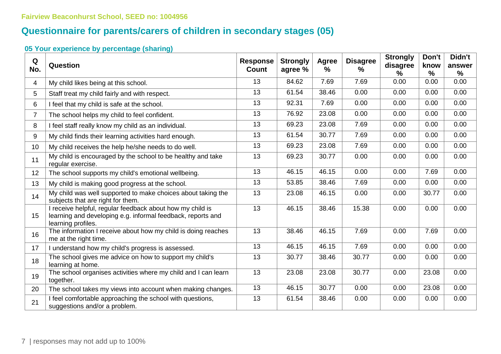## **Questionnaire for parents/carers of children in secondary stages (05)**

### **05 Your experience by percentage (sharing)**

| Q<br>No.       | Question                                                                                                                                       | <b>Response</b><br>Count | <b>Strongly</b><br>agree % | <b>Agree</b><br>$\frac{9}{6}$ | <b>Disagree</b><br>$\%$ | <b>Strongly</b><br>disagree<br>℅ | Don't<br>know<br>$\frac{9}{6}$ | Didn't<br>answer<br>% |
|----------------|------------------------------------------------------------------------------------------------------------------------------------------------|--------------------------|----------------------------|-------------------------------|-------------------------|----------------------------------|--------------------------------|-----------------------|
| $\overline{4}$ | My child likes being at this school.                                                                                                           | 13                       | 84.62                      | 7.69                          | 7.69                    | 0.00                             | 0.00                           | 0.00                  |
| 5              | Staff treat my child fairly and with respect.                                                                                                  | 13                       | 61.54                      | 38.46                         | 0.00                    | 0.00                             | 0.00                           | 0.00                  |
| 6              | I feel that my child is safe at the school.                                                                                                    | 13                       | 92.31                      | 7.69                          | 0.00                    | 0.00                             | 0.00                           | 0.00                  |
| $\overline{7}$ | The school helps my child to feel confident.                                                                                                   | 13                       | 76.92                      | 23.08                         | 0.00                    | 0.00                             | 0.00                           | 0.00                  |
| 8              | I feel staff really know my child as an individual.                                                                                            | 13                       | 69.23                      | 23.08                         | 7.69                    | 0.00                             | 0.00                           | 0.00                  |
| 9              | My child finds their learning activities hard enough.                                                                                          | 13                       | 61.54                      | 30.77                         | 7.69                    | 0.00                             | 0.00                           | 0.00                  |
| 10             | My child receives the help he/she needs to do well.                                                                                            | 13                       | 69.23                      | 23.08                         | 7.69                    | 0.00                             | 0.00                           | 0.00                  |
| 11             | My child is encouraged by the school to be healthy and take<br>regular exercise.                                                               | 13                       | 69.23                      | 30.77                         | 0.00                    | 0.00                             | 0.00                           | 0.00                  |
| 12             | The school supports my child's emotional wellbeing.                                                                                            | 13                       | 46.15                      | 46.15                         | 0.00                    | 0.00                             | 7.69                           | 0.00                  |
| 13             | My child is making good progress at the school.                                                                                                | 13                       | 53.85                      | 38.46                         | 7.69                    | 0.00                             | 0.00                           | 0.00                  |
| 14             | My child was well supported to make choices about taking the<br>subjects that are right for them.                                              | 13                       | 23.08                      | 46.15                         | 0.00                    | 0.00                             | 30.77                          | 0.00                  |
| 15             | I receive helpful, regular feedback about how my child is<br>learning and developing e.g. informal feedback, reports and<br>learning profiles. | 13                       | 46.15                      | 38.46                         | 15.38                   | 0.00                             | 0.00                           | 0.00                  |
| 16             | The information I receive about how my child is doing reaches<br>me at the right time.                                                         | 13                       | 38.46                      | 46.15                         | 7.69                    | 0.00                             | 7.69                           | 0.00                  |
| 17             | I understand how my child's progress is assessed.                                                                                              | 13                       | 46.15                      | 46.15                         | 7.69                    | 0.00                             | 0.00                           | 0.00                  |
| 18             | The school gives me advice on how to support my child's<br>learning at home.                                                                   | 13                       | 30.77                      | 38.46                         | 30.77                   | 0.00                             | 0.00                           | 0.00                  |
| 19             | The school organises activities where my child and I can learn<br>together.                                                                    | 13                       | 23.08                      | 23.08                         | 30.77                   | 0.00                             | 23.08                          | 0.00                  |
| 20             | The school takes my views into account when making changes.                                                                                    | 13                       | 46.15                      | 30.77                         | 0.00                    | 0.00                             | 23.08                          | 0.00                  |
| 21             | I feel comfortable approaching the school with questions,<br>suggestions and/or a problem.                                                     | 13                       | 61.54                      | 38.46                         | 0.00                    | 0.00                             | 0.00                           | 0.00                  |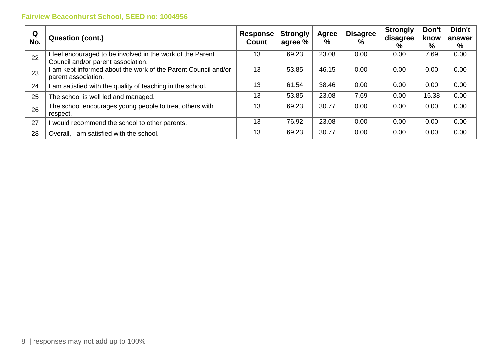| Q<br>No. | <b>Question (cont.)</b>                                                                          | <b>Response</b><br>Count | <b>Strongly</b><br>agree % | Agree<br>% | <b>Disagree</b><br>$\%$ | <b>Strongly</b><br>disagree<br>% | Don't<br>know<br>% | Didn't<br>answer<br>% |
|----------|--------------------------------------------------------------------------------------------------|--------------------------|----------------------------|------------|-------------------------|----------------------------------|--------------------|-----------------------|
| 22       | I feel encouraged to be involved in the work of the Parent<br>Council and/or parent association. | 13                       | 69.23                      | 23.08      | 0.00                    | 0.00                             | 7.69               | 0.00                  |
| 23       | am kept informed about the work of the Parent Council and/or<br>parent association.              | 13                       | 53.85                      | 46.15      | 0.00                    | 0.00                             | 0.00               | 0.00                  |
| 24       | am satisfied with the quality of teaching in the school.                                         | 13                       | 61.54                      | 38.46      | 0.00                    | 0.00                             | 0.00               | 0.00                  |
| 25       | The school is well led and managed.                                                              | 13                       | 53.85                      | 23.08      | 7.69                    | 0.00                             | 15.38              | 0.00                  |
| 26       | The school encourages young people to treat others with<br>respect.                              | 13                       | 69.23                      | 30.77      | 0.00                    | 0.00                             | 0.00               | 0.00                  |
| 27       | would recommend the school to other parents.                                                     | 13                       | 76.92                      | 23.08      | 0.00                    | 0.00                             | 0.00               | 0.00                  |
| 28       | Overall, I am satisfied with the school.                                                         | 13                       | 69.23                      | 30.77      | 0.00                    | 0.00                             | 0.00               | 0.00                  |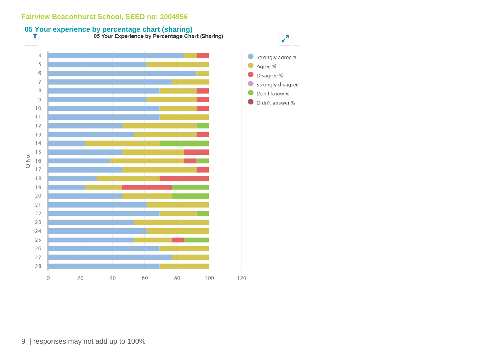



9 | responses may not add up to 100%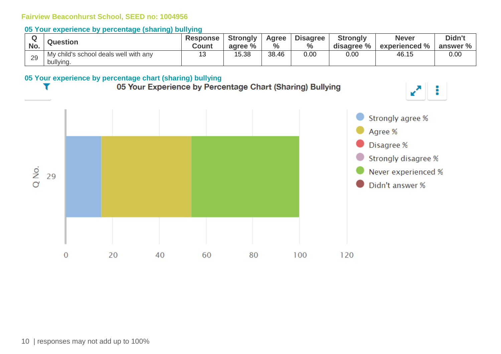#### **05 Your experience by percentage (sharing) bullying**

| No.          | <b>Question</b>                                    | <b>Response</b><br><b>Count</b> | <b>Strongly</b><br>agree % | Agree<br>$\%$ | <b>Disagree</b><br>$\%$ | <b>Strongly</b><br>disagree % | <b>Never</b><br>experienced % | Didn't<br>answer % |
|--------------|----------------------------------------------------|---------------------------------|----------------------------|---------------|-------------------------|-------------------------------|-------------------------------|--------------------|
| $\cap$<br>∠ສ | My child's school deals well with any<br>bullying. |                                 | 15.38                      | 38.46         | 0.00                    | 0.00                          | 46.15                         | 0.00               |